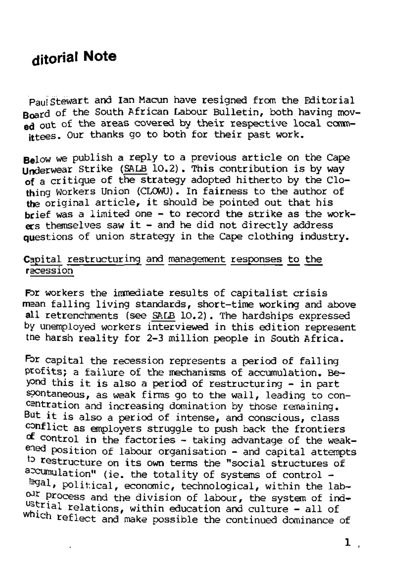## **djtorial Note**

Paul Stewart and Ian Macun have resigned from the Editorial Board of the South African Labour Bulletin, both having moved out of the areas covered by their respective local committees. Our thanks go to both for their past work.

Below we publish a reply to a previous article on the Cape Underwear Strike (SALB 10.2). This contribution is by way of a critique of the strategy adopted hitherto by the Clothing Workers Union (CLOWU). In fairness to the author of the original article, it should be pointed out that his brief was a limited one - to record the strike as the work $ers$  themselves saw it  $-$  and he did not directly address questions of union strategy in the Cape clothing industry.

## Capital restructuring and management responses to the recession

For workers the immediate results of capitalist crisis mean falling living standards, short-time working and above all retrenchments (see SALB 10.2). The hardships expressed by unemployed workers interviewed in this edition represent the harsh reality for 2-3 million people in South Africa.

For capital the recession represents a period of falling pcofits; a failure of the mechanisms of accumulation. Beyond this it is also a period of restructuring - in part spontaneous, as weak firms go to the wall, leading to concentration and increasing domination by those remaining. But it is also a period of intense, and conscious, class conflict as employers struggle to push back the frontiers cf control in the factories - taking advantage of the weakened position of labour organisation - and capital attempts to restructure on its own terms the "social structures of accumulation" (ie. the totality of systems of control -*\*3&lr* political, economic, technological, within the labour process and the division of labour, the system of ind- $\frac{1}{2}$  Process and the division of labour, the system of ind  $\mathcal{L}^{\text{real}}$  reflections, within education and culture - all of  $\mathcal{L}^{\text{real}}$ 

 $1$ ,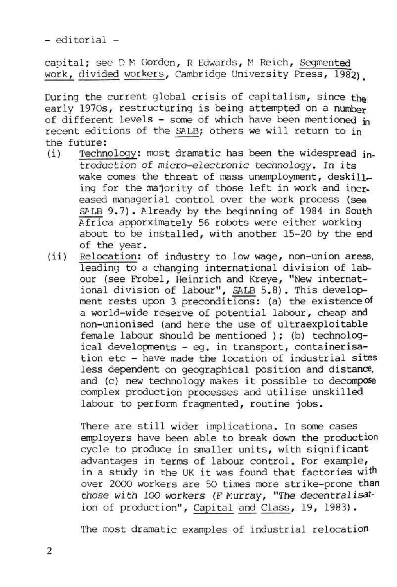- editorial -

capital; see D M Gordon, R Edwards, M Reich, Segmented work, divided workers, Cambridge University Press, 1982),

- (i) Technology: most dramatic has been the widespread introduction of micro-electronic technology. In its wake comes the threat of mass unemployment, deskilling for the majority of those left in work and increased managerial control over the work process (see SALB 9.7). Already by the beginning of 1984 in South Africa apporximately 56 robots were either working about to be installed, with another 15-20 by the end of the year,
- (ii) Relocation: of industry to low wage, non-union areas, leading to a changing international division of labour (see Frobel, Heinrich and Kreye, "New international division of labour", SALB 5.8). This development rests upon 3 preconditions: (a) the existence of a world-wide reserve of potential labour, cheap and a world-wide reserve or potential labour, cheap and non-unionised (and here the use of ultraexploitable female labour should be mentioned ); (b) technolog $ical developments - eq. in transport, container is$ tion etc - have made the location of industrial sites less dependent on geographical position and distance, and (c) new technology makes it possible to decompose complex production processes and utilise unskilled<br>labour to perform fragmented, routine jobs.

During the current global crisis of capitalism, since the early 1970s, restructuring is being attempted on a number of different levels - some of which have been mentioned in recent editions of the SALE; others we will return to in the future:

> There are still wider implicationa. In some cases employers have been able to break down the production cycle to produce in smaller units, with significant advantages in terms of labour control. For example, in a study in the UK it was found that factories with over 2000 workers are 50 times more strike-prone than those with 100 workers (F Murray, "The decentralisation of production", Capital and Class, 19, 1983).

The most dramatic examples of industrial relocation

2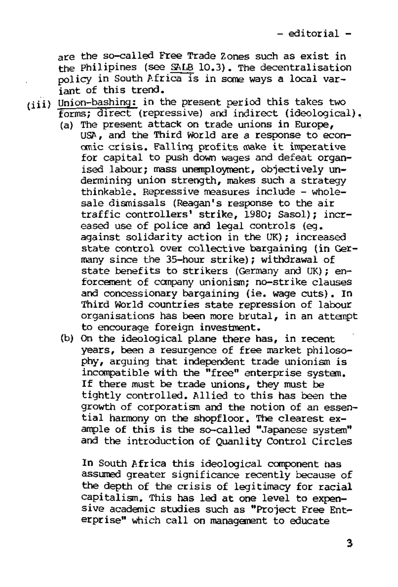are the so-called Free Trade Zones such as exist in the Philipines (see SfiLB 10.3). The decentralisation policy in South Africa is in some ways a local variant of this trend.

(iii) Union-bashing: in the present period this takes two forms; direct (repressive) and indirect (ideological).

- (a) The present attack on trade unions in Europe, USA, and the Third World are a response to economic crisis. Falling profits make it imperative for capital to push down wages and defeat organised labour; mass unemployment, objectively undermining union strength, makes such a strategy thinkable. Repressive measures include - wholesale dismissals (Reagan's response to the air traffic controllers' strike, 1980; Sasol); increased use of police and legal controls (eg. against solidarity action in the UK); increased state control over collective bargaining (in Germany since the 35-hour strike); withdrawal of state benefits to strikers (Germany and UK); enforcement of company unionism; no-strike clauses and concessionary bargaining (ie. wage cuts), in and concessionary pargaining (ie. wage curs). In<br>Meisd Marld constries state representes of labour organisations has been more brutal, in an attempt organisations has been more brutal, in an attempt<br>to encourage foreign investment.
- (b) On the ideological plane there has, in recent years, been a resurgence of free market philosophy, arguing that independent trade unionism is incompatible with the "free" enterprise system. If there must be trade unions, they must be tightly controlled. Allied to this has been the growth of corporatism and the notion of an essential harmony on the shopfloor. The clearest example of this is the so-called "Japanese system" and the introduction of Quanlity Control Circles

In South Africa this ideological component has assumed greater significance recently because of the depth of the crisis of legitimacy for racial capitalism. This has led at one level to expensive academic studies such as "Project Free Enterprise" which call on management to educate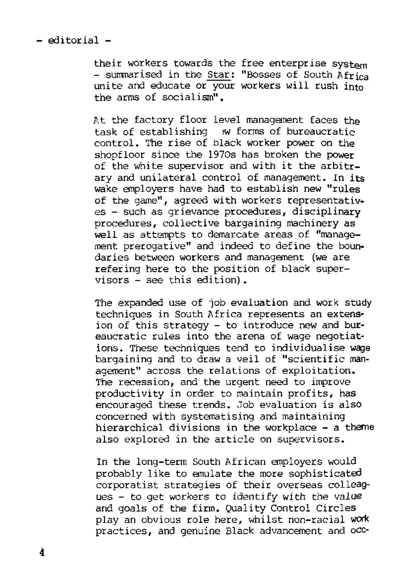- editorial -

their workers towards the free enterprise system - summarised in the Star: "Bosses of South Africa unite and educate or your workers will rush into the arms of socialism".

At the factory floor level management faces the task of establishing >w forms of bureaucratic control. The rise of black worker power on the shopfloor since the 1970s has broken the power of the white supervisor and with it the arbitrary and unilateral control of management. In its wake employers have had to establish new "rules of the game", agreed with workers representatives - such as grievance procedures, disciplinary procedures, collective bargaining machinery as well as attempts to demarcate areas of "management prerogative" and indeed to define the boundaries between workers and management (we are refering here to the position of black supervisors - see this edition).

The expanded use of job evaluation and work study techniques in South Africa represents an extension of this strategy - to introduce new and bureaucratic rules into the arena of wage negotiations. These techniques tend to individualise wage bargaining and to draw a veil of "scientific management" across the relations of exploitation. The recession, and the urgent need to improve productivity in order to maintain profits, has encouraged these trends. Job evaluation is also concerned with systematising and maintaining hierarchical divisions in the workplace - a theme also explored in the article on supervisors.

In the long-term South African employers would probably like to emulate the more sophisticated corporatist strategies of their overseas colleagues - to get workers to identify with the value and goals of the firm. Quality Control Circles play an obvious role here, whilst non-racial work practices, and genuine Black advancement and occ-

4